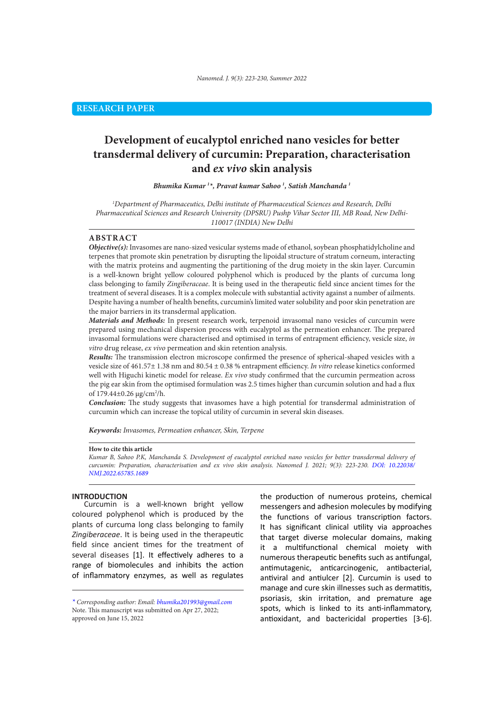# **Development of eucalyptol enriched nano vesicles for better transdermal delivery of curcumin: Preparation, characterisation and** *ex vivo* **skin analysis**

#### *Bhumika Kumar 1 \*, Pravat kumar Sahoo 1 , Satish Manchanda 1*

*1 Department of Pharmaceutics, Delhi institute of Pharmaceutical Sciences and Research, Delhi Pharmaceutical Sciences and Research University (DPSRU) Pushp Vihar Sector III, MB Road, New Delhi-110017 (INDIA) New Delhi* 

# **ABSTRACT**

*Objective(s):* Invasomes are nano-sized vesicular systems made of ethanol, soybean phosphatidylcholine and terpenes that promote skin penetration by disrupting the lipoidal structure of stratum corneum, interacting with the matrix proteins and augmenting the partitioning of the drug moiety in the skin layer. Curcumin is a well-known bright yellow coloured polyphenol which is produced by the plants of curcuma long class belonging to family *Zingiberaceae*. It is being used in the therapeutic field since ancient times for the treatment of several diseases. It is a complex molecule with substantial activity against a number of ailments. Despite having a number of health benefits, curcumin's limited water solubility and poor skin penetration are the major barriers in its transdermal application.

*Materials and Methods:* In present research work, terpenoid invasomal nano vesicles of curcumin were prepared using mechanical dispersion process with eucalyptol as the permeation enhancer. The prepared invasomal formulations were characterised and optimised in terms of entrapment efficiency, vesicle size, *in vitro* drug release, *ex vivo* permeation and skin retention analysis.

*Results:* The transmission electron microscope confirmed the presence of spherical-shaped vesicles with a vesicle size of 461.57± 1.38 nm and 80.54 ± 0.38 % entrapment efficiency. *In vitro* release kinetics conformed well with Higuchi kinetic model for release. *Ex vivo* study confirmed that the curcumin permeation across the pig ear skin from the optimised formulation was 2.5 times higher than curcumin solution and had a flux of 179.44±0.26 µg/cm2 /h.

*Conclusion:* The study suggests that invasomes have a high potential for transdermal administration of curcumin which can increase the topical utility of curcumin in several skin diseases.

*Keywords: Invasomes, Permeation enhancer, Skin, Terpene* 

## **How to cite this article**

*Kumar B, Sahoo P.K, Manchanda S. Development of eucalyptol enriched nano vesicles for better transdermal delivery of curcumin: Preparation, characterisation and ex vivo skin analysis. Nanomed J. 2021; 9(3): 223-230. DOI: 10.22038/ NMJ.2022.65785.1689*

# **INTRODUCTION**

Curcumin is a well-known bright yellow coloured polyphenol which is produced by the plants of curcuma long class belonging to family *Zingiberaceae*. It is being used in the therapeutic field since ancient times for the treatment of several diseases [1]. It effectively adheres to a range of biomolecules and inhibits the action of inflammatory enzymes, as well as regulates the production of numerous proteins, chemical messengers and adhesion molecules by modifying the functions of various transcription factors. It has significant clinical utility via approaches that target diverse molecular domains, making it a multifunctional chemical moiety with numerous therapeutic benefits such as antifungal, antimutagenic, anticarcinogenic, antibacterial, antiviral and antiulcer [2]. Curcumin is used to manage and cure skin illnesses such as dermatitis, psoriasis, skin irritation, and premature age spots, which is linked to its anti-inflammatory, antioxidant, and bactericidal properties [3-6].

*<sup>\*</sup> Corresponding author: Email: bhumika201993@gmail.com* Note. This manuscript was submitted on Apr 27, 2022; approved on June 15, 2022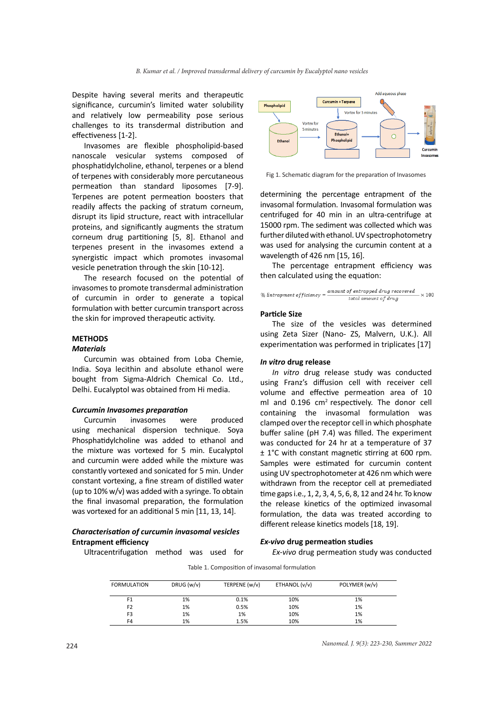Despite having several merits and therapeutic significance, curcumin's limited water solubility and relatively low permeability pose serious challenges to its transdermal distribution and effectiveness [1-2].

Invasomes are flexible phospholipid-based nanoscale vesicular systems composed of phosphatidylcholine, ethanol, terpenes or a blend of terpenes with considerably more percutaneous permeation than standard liposomes [7-9]. Terpenes are potent permeation boosters that readily affects the packing of stratum corneum, disrupt its lipid structure, react with intracellular proteins, and significantly augments the stratum corneum drug partitioning [5, 8]. Ethanol and terpenes present in the invasomes extend a synergistic impact which promotes invasomal vesicle penetration through the skin [10-12].

The research focused on the potential of invasomes to promote transdermal administration of curcumin in order to generate a topical formulation with better curcumin transport across the skin for improved therapeutic activity.

# **METHODS**

# *Materials*

Curcumin was obtained from Loba Chemie, India. Soya lecithin and absolute ethanol were bought from Sigma-Aldrich Chemical Co. Ltd., Delhi. Eucalyptol was obtained from Hi media.

#### *Curcumin Invasomes preparation*

Curcumin invasomes were produced using mechanical dispersion technique. Soya Phosphatidylcholine was added to ethanol and the mixture was vortexed for 5 min. Eucalyptol and curcumin were added while the mixture was constantly vortexed and sonicated for 5 min. Under constant vortexing, a fine stream of distilled water (up to 10% w/v) was added with a syringe. To obtain the final invasomal preparation, the formulation was vortexed for an additional 5 min [11, 13, 14].

# *Characterisation of curcumin invasomal vesicles* **Entrapment efficiency**

Ultracentrifugation method was used for



Fig 1. Schematic diagram for the preparation of Invasomes

determining the percentage entrapment of the invasomal formulation. Invasomal formulation was centrifuged for 40 min in an ultra-centrifuge at 15000 rpm. The sediment was collected which was further diluted with ethanol. UV spectrophotometry was used for analysing the curcumin content at a wavelength of 426 nm [15, 16].

The percentage entrapment efficiency was then calculated using the equation:

$$
\% \textit{Entrapment efficiency} = \frac{amount\textit{ of entrapped drug recovered}}{\textit{total amount of drug}} \times 100
$$

## **Particle Size**

The size of the vesicles was determined using Zeta Sizer (Nano‐ ZS, Malvern, U.K.). All experimentation was performed in triplicates [17]

#### *In vitro* **drug release**

*In vitro* drug release study was conducted using Franz's diffusion cell with receiver cell volume and effective permeation area of 10 ml and 0.196 cm<sup>2</sup> respectively. The donor cell containing the invasomal formulation was clamped over the receptor cell in which phosphate buffer saline (pH 7.4) was filled. The experiment was conducted for 24 hr at a temperature of 37 ± 1°C with constant magnetic stirring at 600 rpm. Samples were estimated for curcumin content using UV spectrophotometer at 426 nm which were withdrawn from the receptor cell at premediated time gaps i.e., 1, 2, 3, 4, 5, 6, 8, 12 and 24 hr. To know the release kinetics of the optimized invasomal formulation, the data was treated according to different release kinetics models [18, 19].

## *Ex-vivo* **drug permeation studies**

*Ex-vivo* drug permeation study was conducted

Table 1. Composition of invasomal formulation

| <b>FORMULATION</b> | DRUG (w/v) | TERPENE (w/v) | ETHANOL (v/v) | POLYMER (w/v) |  |
|--------------------|------------|---------------|---------------|---------------|--|
| F <sub>1</sub>     | 1%         | 0.1%          | 10%           | 1%            |  |
| F <sub>2</sub>     | 1%         | 0.5%          | 10%           | 1%            |  |
| F <sub>3</sub>     | 1%         | 1%            | 10%           | 1%            |  |
| F4                 | 1%         | 1.5%          | 10%           | 1%            |  |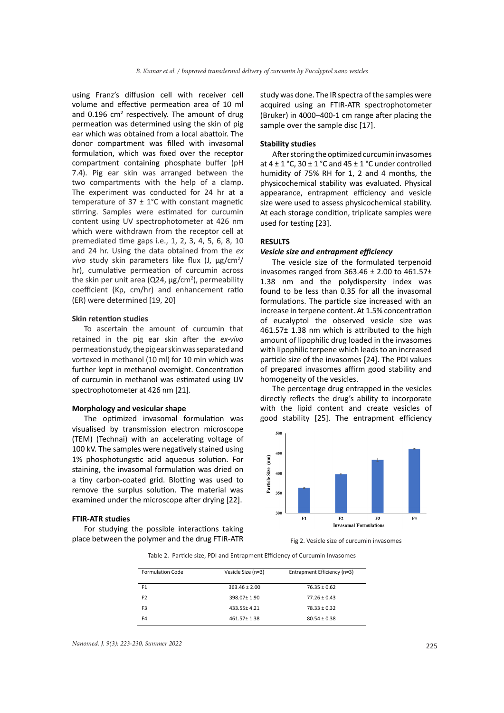using Franz's diffusion cell with receiver cell volume and effective permeation area of 10 ml and  $0.196$  cm<sup>2</sup> respectively. The amount of drug permeation was determined using the skin of pig ear which was obtained from a local abattoir. The donor compartment was filled with invasomal formulation, which was fixed over the receptor compartment containing phosphate buffer (pH 7.4). Pig ear skin was arranged between the two compartments with the help of a clamp. The experiment was conducted for 24 hr at a temperature of  $37 \pm 1^{\circ}$ C with constant magnetic stirring. Samples were estimated for curcumin content using UV spectrophotometer at 426 nm which were withdrawn from the receptor cell at premediated time gaps i.e., 1, 2, 3, 4, 5, 6, 8, 10 and 24 hr. Using the data obtained from the *ex*  vivo study skin parameters like flux (J, µg/cm<sup>2</sup>/ hr), cumulative permeation of curcumin across the skin per unit area (Q24, µg/cm<sup>2</sup>), permeability coefficient (Kp, cm/hr) and enhancement ratio (ER) were determined [19, 20]

## **Skin retention studies**

To ascertain the amount of curcumin that retained in the pig ear skin after the *ex-vivo* permeation study, the pig ear skin was separated and vortexed in methanol (10 ml) for 10 min which was further kept in methanol overnight. Concentration of curcumin in methanol was estimated using UV spectrophotometer at 426 nm [21].

## **Morphology and vesicular shape**

The optimized invasomal formulation was visualised by transmission electron microscope (TEM) (Technai) with an accelerating voltage of 100 kV. The samples were negatively stained using 1% phosphotungstic acid aqueous solution. For staining, the invasomal formulation was dried on a tiny carbon-coated grid. Blotting was used to remove the surplus solution. The material was examined under the microscope after drying [22].

## **FTIR‑ATR studies**

For studying the possible interactions taking place between the polymer and the drug FTIR-ATR study was done. The IR spectra of the samples were acquired using an FTIR-ATR spectrophotometer (Bruker) in 4000–400-1 cm range after placing the sample over the sample disc [17].

## **Stability studies**

After storing the optimized curcumin invasomes at  $4 \pm 1$  °C,  $30 \pm 1$  °C and  $45 \pm 1$  °C under controlled humidity of 75% RH for 1, 2 and 4 months, the physicochemical stability was evaluated. Physical appearance, entrapment efficiency and vesicle size were used to assess physicochemical stability. At each storage condition, triplicate samples were used for testing [23].

## **RESULTS**

#### *Vesicle size and entrapment efficiency*

The vesicle size of the formulated terpenoid invasomes ranged from  $363.46 \pm 2.00$  to  $461.57 \pm 1.0$ 1.38 nm and the polydispersity index was found to be less than 0.35 for all the invasomal formulations. The particle size increased with an increase in terpene content. At 1.5% concentration of eucalyptol the observed vesicle size was 461.57± 1.38 nm which is attributed to the high amount of lipophilic drug loaded in the invasomes with lipophilic terpene which leads to an increased particle size of the invasomes [24]. The PDI values of prepared invasomes affirm good stability and homogeneity of the vesicles.

The percentage drug entrapped in the vesicles directly reflects the drug's ability to incorporate with the lipid content and create vesicles of good stability [25]. The entrapment efficiency



Fig 2. Vesicle size of curcumin invasomes

Table 2. Particle size, PDI and Entrapment Efficiency of Curcumin Invasomes

| <b>Formulation Code</b> | Vesicle Size (n=3) | Entrapment Efficiency (n=3) |
|-------------------------|--------------------|-----------------------------|
| F <sub>1</sub>          | $363.46 \pm 2.00$  | $76.35 \pm 0.62$            |
| F <sub>2</sub>          | 398.07+1.90        | $77.26 \pm 0.43$            |
| F <sub>3</sub>          | 433.55±4.21        | $78.33 \pm 0.32$            |
| F4                      | 461.57 ± 1.38      | $80.54 \pm 0.38$            |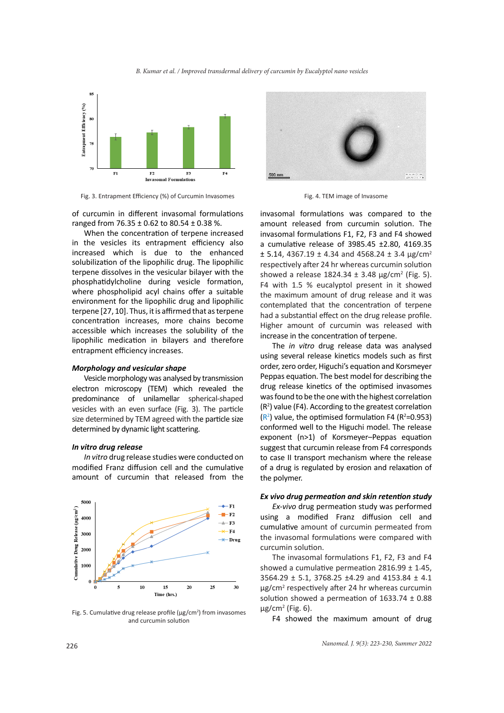### *B. Kumar et al. / Improved transdermal delivery of curcumin by Eucalyptol nano vesicles*



Fig. 3. Entrapment Efficiency (%) of Curcumin Invasomes Fig. 4. TEM image of Invasome

of curcumin in different invasomal formulations ranged from 76.35 ± 0.62 to 80.54 ± 0.38 %.

When the concentration of terpene increased in the vesicles its entrapment efficiency also increased which is due to the enhanced solubilization of the lipophilic drug. The lipophilic terpene dissolves in the vesicular bilayer with the phosphatidylcholine during vesicle formation, where phospholipid acyl chains offer a suitable environment for the lipophilic drug and lipophilic terpene [27, 10]. Thus, it is affirmed that as terpene concentration increases, more chains become accessible which increases the solubility of the lipophilic medication in bilayers and therefore entrapment efficiency increases.

## *Morphology and vesicular shape*

Vesicle morphology was analysed by transmission electron microscopy (TEM) which revealed the predominance of unilamellar spherical-shaped vesicles with an even surface (Fig. 3). The particle size determined by TEM agreed with the particle size determined by dynamic light scattering.

## *In vitro drug release*

*In vitro* drug release studies were conducted on modified Franz diffusion cell and the cumulative amount of curcumin that released from the



Fig. 5. Cumulative drug release profile ( $\mu$ g/cm<sup>2</sup>) from invasomes and curcumin solution



invasomal formulations was compared to the amount released from curcumin solution. The invasomal formulations F1, F2, F3 and F4 showed a cumulative release of 3985.45 ±2.80, 4169.35  $\pm$  5.14, 4367.19  $\pm$  4.34 and 4568.24  $\pm$  3.4 µg/cm<sup>2</sup> respectively after 24 hr whereas curcumin solution showed a release  $1824.34 \pm 3.48 \,\mu g/cm^2$  (Fig. 5). F4 with 1.5 % eucalyptol present in it showed the maximum amount of drug release and it was contemplated that the concentration of terpene had a substantial effect on the drug release profile. Higher amount of curcumin was released with increase in the concentration of terpene.

The *in vitro* drug release data was analysed using several release kinetics models such as first order, zero order, Higuchi's equation and Korsmeyer Peppas equation. The best model for describing the drug release kinetics of the optimised invasomes was found to be the one with the highest correlation  $(R<sup>2</sup>)$  value (F4). According to the greatest correlation  $(R<sup>2</sup>)$  value, the optimised formulation F4 ( $R<sup>2</sup>=0.953$ ) conformed well to the Higuchi model. The release exponent (n>1) of Korsmeyer–Peppas equation suggest that curcumin release from F4 corresponds to case II transport mechanism where the release of a drug is regulated by erosion and relaxation of the polymer.

## *Ex vivo drug permeation and skin retention study*

*Ex-vivo* drug permeation study was performed using a modified Franz diffusion cell and cumulative amount of curcumin permeated from the invasomal formulations were compared with curcumin solution.

The invasomal formulations F1, F2, F3 and F4 showed a cumulative permeation  $2816.99 \pm 1.45$ , 3564.29 ± 5.1, 3768.25 ±4.29 and 4153.84 ± 4.1 µg/cm<sup>2</sup> respectively after 24 hr whereas curcumin solution showed a permeation of  $1633.74 \pm 0.88$  $\mu$ g/cm<sup>2</sup> (Fig. 6).

F4 showed the maximum amount of drug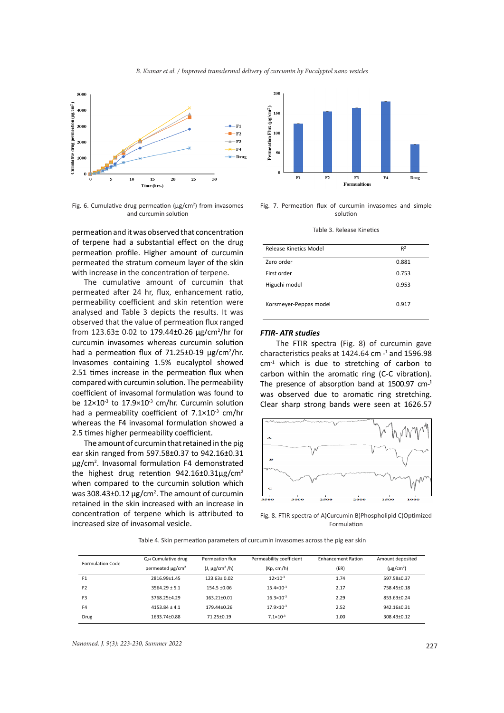



Fig. 6. Cumulative drug permeation ( $\mu$ g/cm<sup>2</sup>) from invasomes and curcumin solution

permeation and it was observed that concentration of terpene had a substantial effect on the drug permeation profile. Higher amount of curcumin permeated the stratum corneum layer of the skin with increase in the concentration of terpene.

The cumulative amount of curcumin that permeated after 24 hr, flux, enhancement ratio, permeability coefficient and skin retention were analysed and Table 3 depicts the results. It was observed that the value of permeation flux ranged from 123.63± 0.02 to 179.44±0.26 µg/cm<sup>2</sup> /hr for curcumin invasomes whereas curcumin solution had a permeation flux of 71.25±0.19 µg/cm<sup>2</sup>/hr. Invasomes containing 1.5% eucalyptol showed 2.51 times increase in the permeation flux when compared with curcumin solution. The permeability coefficient of invasomal formulation was found to be  $12\times10^{-3}$  to  $17.9\times10^{-3}$  cm/hr. Curcumin solution had a permeability coefficient of  $7.1 \times 10^{-3}$  cm/hr whereas the F4 invasomal formulation showed a 2.5 times higher permeability coefficient.

The amount of curcumin that retained in the pig ear skin ranged from 597.58±0.37 to 942.16±0.31 µg/cm2 . Invasomal formulation F4 demonstrated the highest drug retention 942.16±0.31µg/cm<sup>2</sup> when compared to the curcumin solution which was  $308.43\pm0.12$   $\mu$ g/cm<sup>2</sup>. The amount of curcumin retained in the skin increased with an increase in concentration of terpene which is attributed to increased size of invasomal vesicle.



Fig. 7. Permeation flux of curcumin invasomes and simple solution

|  |  |  | Table 3. Release Kinetics |
|--|--|--|---------------------------|
|--|--|--|---------------------------|

| Release Kinetics Model | R <sup>2</sup> |
|------------------------|----------------|
| Zero order             | 0.881          |
| First order            | 0.753          |
| Higuchi model          | 0.953          |
| Korsmeyer-Peppas model | 0.917          |

## *FTIR- ATR studies*

The FTIR spectra (Fig. 8) of curcumin gave characteristics peaks at  $1424.64$  cm  $-1$  and  $1596.98$ cm-1 which is due to stretching of carbon to carbon within the aromatic ring (C-C vibration). The presence of absorption band at  $1500.97$  cm- $1$ was observed due to aromatic ring stretching. Clear sharp strong bands were seen at 1626.57



Fig. 8. FTIR spectra of A)Curcumin B)Phospholipid C)Optimized Formulation

Table 4. Skin permeation parameters of curcumin invasomes across the pig ear skin

| <b>Formulation Code</b> | Q <sub>24</sub> Cumulative drug | Permeation flux     | Permeability coefficient | <b>Enhancement Ration</b> | Amount deposited           |
|-------------------------|---------------------------------|---------------------|--------------------------|---------------------------|----------------------------|
|                         | permeated µg/cm <sup>2</sup>    | $(J, \mu g/cm^2/h)$ | (Kp, cm/h)               | (ER)                      | $(\mu$ g/cm <sup>2</sup> ) |
| F <sub>1</sub>          | 2816.99+1.45                    | $123.63 \pm 0.02$   | $12\times10^{-3}$        | 1.74                      | 597.58+0.37                |
| F <sub>2</sub>          | $3564.29 + 5.1$                 | $154.5 + 0.06$      | $15.4 \times 10^{-3}$    | 2.17                      | 758.45±0.18                |
| F <sub>3</sub>          | 3768.25+4.29                    | $163.21 \pm 0.01$   | $16.3 \times 10^{-3}$    | 2.29                      | 853.63+0.24                |
| F4                      | $4153.84 \pm 4.1$               | 179.44+0.26         | $17.9 \times 10^{-3}$    | 2.52                      | 942.16+0.31                |
| Drug                    | 1633.74+0.88                    | 71.25±0.19          | $7.1 \times 10^{-3}$     | 1.00                      | 308.43+0.12                |

227 *Nanomed. J. 9(3): 223-230, Summer 2022*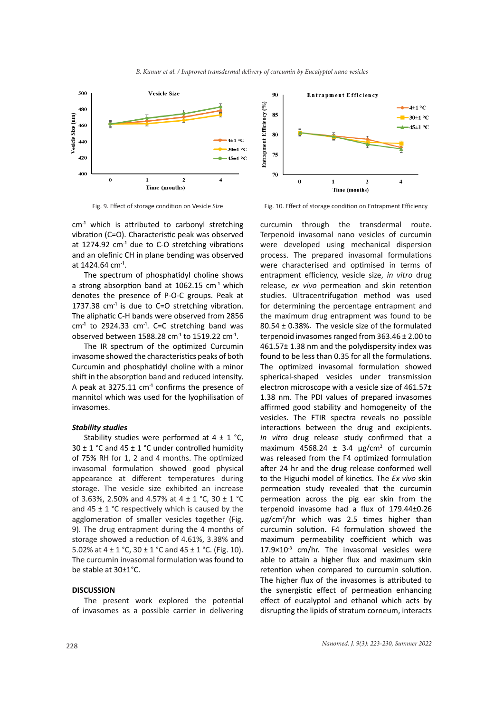

cm- ¹ which is attributed to carbonyl stretching vibration (C=O). Characteristic peak was observed at 1274.92 cm<sup>-1</sup> due to C-O stretching vibrations and an olefinic CH in plane bending was observed at 1424.64 cm<sup>-1</sup>.

The spectrum of phosphatidyl choline shows a strong absorption band at 1062.15 cm<sup>-1</sup> which denotes the presence of P-O-C groups. Peak at 1737.38  $cm<sup>-1</sup>$  is due to C=O stretching vibration. The aliphatic C-H bands were observed from 2856  $cm<sup>-1</sup>$  to 2924.33  $cm<sup>-1</sup>$ . C=C stretching band was observed between  $1588.28$  cm<sup>-1</sup> to  $1519.22$  cm<sup>-1</sup>.

The IR spectrum of the optimized Curcumin invasome showed the characteristics peaks of both Curcumin and phosphatidyl choline with a minor shift in the absorption band and reduced intensity. A peak at  $3275.11$  cm<sup>-1</sup> confirms the presence of mannitol which was used for the lyophilisation of invasomes.

## *Stability studies*

Stability studies were performed at  $4 \pm 1$  °C,  $30 \pm 1$  °C and  $45 \pm 1$  °C under controlled humidity of 75% RH for 1, 2 and 4 months. The optimized invasomal formulation showed good physical appearance at different temperatures during storage. The vesicle size exhibited an increase of 3.63%, 2.50% and 4.57% at  $4 \pm 1$  °C, 30  $\pm$  1 °C and 45  $\pm$  1 °C respectively which is caused by the agglomeration of smaller vesicles together (Fig. 9). The drug entrapment during the 4 months of storage showed a reduction of 4.61%, 3.38% and 5.02% at  $4 \pm 1$  °C,  $30 \pm 1$  °C and  $45 \pm 1$  °C. (Fig. 10). The curcumin invasomal formulation was found to be stable at 30±1°C.

# **DISCUSSION**

The present work explored the potential of invasomes as a possible carrier in delivering



Fig. 9. Effect of storage condition on Vesicle Size Fig. 10. Effect of storage condition on Entrapment Efficiency

curcumin through the transdermal route. Terpenoid invasomal nano vesicles of curcumin were developed using mechanical dispersion process. The prepared invasomal formulations were characterised and optimised in terms of entrapment efficiency, vesicle size, *in vitro* drug release, *ex vivo* permeation and skin retention studies. Ultracentrifugation method was used for determining the percentage entrapment and the maximum drug entrapment was found to be 80.54 ± 0.38%. The vesicle size of the formulated terpenoid invasomes ranged from 363.46 ± 2.00 to 461.57± 1.38 nm and the polydispersity index was found to be less than 0.35 for all the formulations. The optimized invasomal formulation showed spherical-shaped vesicles under transmission electron microscope with a vesicle size of 461.57± 1.38 nm. The PDI values of prepared invasomes affirmed good stability and homogeneity of the vesicles. The FTIR spectra reveals no possible interactions between the drug and excipients. *In vitro* drug release study confirmed that a maximum 4568.24  $\pm$  3.4 µg/cm<sup>2</sup> of curcumin was released from the F4 optimized formulation after 24 hr and the drug release conformed well to the Higuchi model of kinetics. The *Ex vivo* skin permeation study revealed that the curcumin permeation across the pig ear skin from the terpenoid invasome had a flux of 179.44±0.26 µg/cm<sup>2</sup> /hr which was 2.5 times higher than curcumin solution. F4 formulation showed the maximum permeability coefficient which was  $17.9\times10^{-3}$  cm/hr. The invasomal vesicles were able to attain a higher flux and maximum skin retention when compared to curcumin solution. The higher flux of the invasomes is attributed to the synergistic effect of permeation enhancing effect of eucalyptol and ethanol which acts by disrupting the lipids of stratum corneum, interacts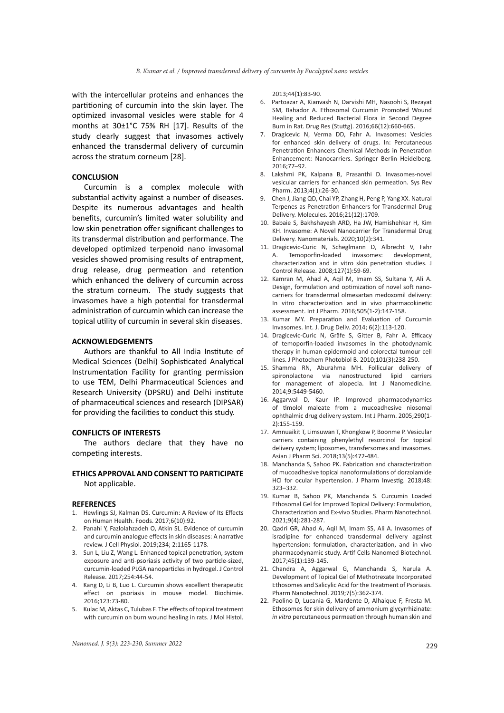with the intercellular proteins and enhances the partitioning of curcumin into the skin layer. The optimized invasomal vesicles were stable for 4 months at 30±1°C 75% RH [17]. Results of the study clearly suggest that invasomes actively enhanced the transdermal delivery of curcumin across the stratum corneum [28].

#### **CONCLUSION**

Curcumin is a complex molecule with substantial activity against a number of diseases. Despite its numerous advantages and health benefits, curcumin's limited water solubility and low skin penetration offer significant challenges to its transdermal distribution and performance. The developed optimized terpenoid nano invasomal vesicles showed promising results of entrapment, drug release, drug permeation and retention which enhanced the delivery of curcumin across the stratum corneum. The study suggests that invasomes have a high potential for transdermal administration of curcumin which can increase the topical utility of curcumin in several skin diseases.

#### **ACKNOWLEDGEMENTS**

Authors are thankful to All India Institute of Medical Sciences (Delhi) Sophisticated Analytical Instrumentation Facility for granting permission to use TEM, Delhi Pharmaceutical Sciences and Research University (DPSRU) and Delhi institute of pharmaceutical sciences and research (DIPSAR) for providing the facilities to conduct this study.

## **CONFLICTS OF INTERESTS**

The authors declare that they have no competing interests.

# **ETHICS APPROVAL AND CONSENT TO PARTICIPATE** Not applicable.

## **REFERENCES**

- 1. Hewlings SJ, Kalman DS. Curcumin: A Review of Its Effects on Human Health. Foods. 2017;6(10):92.
- 2. Panahi Y, Fazlolahzadeh O, Atkin SL. Evidence of curcumin and curcumin analogue effects in skin diseases: A narrative review. J Cell Physiol. 2019;234; 2:1165-1178.
- 3. Sun L, Liu Z, Wang L. Enhanced topical penetration, system exposure and anti-psoriasis activity of two particle-sized, curcumin-loaded PLGA nanoparticles in hydrogel. J Control Release. 2017;254:44-54.
- 4. Kang D, Li B, Luo L. Curcumin shows excellent therapeutic effect on psoriasis in mouse model. Biochimie. 2016;123:73-80.
- 5. Kulac M, Aktas C, Tulubas F. The effects of topical treatment with curcumin on burn wound healing in rats. J Mol Histol.

2013;44(1):83-90.

- 6. Partoazar A, Kianvash N, Darvishi MH, Nasoohi S, Rezayat SM, Bahador A. Ethosomal Curcumin Promoted Wound Healing and Reduced Bacterial Flora in Second Degree Burn in Rat. Drug Res (Stuttg). 2016;66(12):660-665.
- 7. Dragicevic N, Verma DD, Fahr A. Invasomes: Vesicles for enhanced skin delivery of drugs. In: Percutaneous Penetration Enhancers Chemical Methods in Penetration Enhancement: Nanocarriers. Springer Berlin Heidelberg. 2016;77–92.
- 8. Lakshmi PK, Kalpana B, Prasanthi D. Invasomes-novel vesicular carriers for enhanced skin permeation. Sys Rev Pharm. 2013;4(1):26-30.
- 9. Chen J, Jiang QD, Chai YP, Zhang H, Peng P, Yang XX. Natural Terpenes as Penetration Enhancers for Transdermal Drug Delivery. Molecules. 2016;21(12):1709.
- 10. Babaie S, Bakhshayesh ARD, Ha JW, Hamishehkar H, Kim KH. Invasome: A Novel Nanocarrier for Transdermal Drug Delivery. Nanomaterials. 2020;10(2):341.
- 11. Dragicevic-Curic N, Scheglmann D, Albrecht V, Fahr A. Temoporfin-loaded invasomes: development, characterization and in vitro skin penetration studies. J Control Release. 2008;127(1):59-69.
- 12. Kamran M, Ahad A, Aqil M, Imam SS, Sultana Y, Ali A. Design, formulation and optimization of novel soft nanocarriers for transdermal olmesartan medoxomil delivery: In vitro characterization and in vivo pharmacokinetic assessment. Int J Pharm. 2016;505(1-2):147-158.
- 13. Kumar MY. Preparation and Evaluation of Curcumin Invasomes. Int. J. Drug Deliv. 2014; 6(2):113-120.
- 14. Dragicevic-Curic N, Gräfe S, Gitter B, Fahr A. Efficacy of temoporfin-loaded invasomes in the photodynamic therapy in human epidermoid and colorectal tumour cell lines. J Photochem Photobiol B. 2010;101(3):238-250.
- 15. Shamma RN, Aburahma MH. Follicular delivery of spironolactone via nanostructured lipid carriers for management of alopecia. Int J Nanomedicine. 2014;9:5449-5460.
- 16. Aggarwal D, Kaur IP. Improved pharmacodynamics of timolol maleate from a mucoadhesive niosomal ophthalmic drug delivery system. Int J Pharm. 2005;290(1- 2):155-159.
- 17. Amnuaikit T, Limsuwan T, Khongkow P, Boonme P. Vesicular carriers containing phenylethyl resorcinol for topical delivery system; liposomes, transfersomes and invasomes. Asian J Pharm Sci. 2018;13(5):472-484.
- 18. Manchanda S, Sahoo PK. Fabrication and characterization of mucoadhesive topical nanoformulations of dorzolamide HCl for ocular hypertension. J Pharm Investig. 2018;48: 323–332.
- 19. Kumar B, Sahoo PK, Manchanda S. Curcumin Loaded Ethosomal Gel for Improved Topical Delivery: Formulation, Characterization and Ex-vivo Studies. Pharm Nanotechnol. 2021;9(4):281-287.
- 20. Qadri GR, Ahad A, Aqil M, Imam SS, Ali A. Invasomes of isradipine for enhanced transdermal delivery against hypertension: formulation, characterization, and in vivo pharmacodynamic study. Artif Cells Nanomed Biotechnol. 2017;45(1):139-145.
- 21. Chandra A, Aggarwal G, Manchanda S, Narula A. Development of Topical Gel of Methotrexate Incorporated Ethosomes and Salicylic Acid for the Treatment of Psoriasis. Pharm Nanotechnol. 2019;7(5):362-374.
- 22. Paolino D, Lucania G, Mardente D, Alhaique F, Fresta M. Ethosomes for skin delivery of ammonium glycyrrhizinate: *in vitro* percutaneous permeation through human skin and